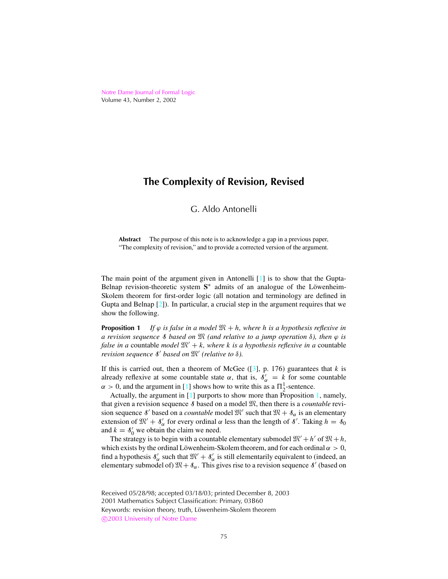<span id="page-0-0"></span>Notre Dame [Journal](http://www.nd.edu/~ndjfl) of Formal Logic Volume 43, Number 2, 2002

# **The Complexity of Revision, Revised**

## G. Aldo Antonelli

**Abstract** The purpose of this note is to acknowledge a gap in a previous paper, "The complexity of revision," and to provide a corrected version of the argument.

The main point of the argument given in Antonelli [\[1](#page-2-0)] is to show that the Gupta-Belnap revision-theoretic system S<sup>\*</sup> admits of an analogue of the Löwenheim-Skolem theorem for first-order logic (all notation and terminology are defined in Gupta and Belnap [\[2\]](#page-3-0)). In particular, a crucial step in the argument requires that we show the following.

**Proposition 1** If  $\varphi$  is false in a model  $\mathfrak{M} + h$ , where h is a hypothesis reflexive in *a revision sequence* S *based on* M *(and relative to a jump operation* δ*), then* ϕ *is false in a* countable *model*  $\mathfrak{M}' + k$ , *where k is a hypothesis reflexive in a* countable *revision sequence* S <sup>0</sup> *based on* M<sup>0</sup> *(relative to* δ*).*

If this is carried out, then a theorem of McGee  $(3]$ , p. 176) guarantees that  $k$  is already reflexive at some countable state  $\alpha$ , that is,  $\delta'_{\alpha} = k$  for some countable  $\alpha > 0$ , and the argument in [\[1](#page-2-0)] shows how to write this as a  $\Pi_2^1$ -sentence.

Actually, the argument in  $[1]$  purports to show more than Proposition 1, namely, that given a revision sequence  $\delta$  based on a model  $\mathfrak{M}$ , then there is a *countable* revision sequence  $\delta'$  based on a *countable* model  $\mathfrak{M}'$  such that  $\mathfrak{M} + \delta_{\alpha}$  is an elementary extension of  $\mathfrak{M}' + \mathfrak{F}'_{\alpha}$  for every ordinal  $\alpha$  less than the length of  $\mathfrak{F}'$ . Taking  $h = \mathfrak{F}_0$ and  $k = s'_0$  we obtain the claim we need.

The strategy is to begin with a countable elementary submodel  $\mathfrak{M}' + h'$  of  $\mathfrak{M} + h$ , which exists by the ordinal Löwenheim-Skolem theorem, and for each ordinal  $\alpha > 0$ , find a hypothesis  $\delta'_{\alpha}$  such that  $\mathfrak{M}' + \delta'_{\alpha}$  is still elementarily equivalent to (indeed, an elementary submodel of)  $\mathfrak{M} + \mathfrak{F}_{\alpha}$ . This gives rise to a revision sequence  $\mathfrak{F}'$  (based on

Received 05/28/98; accepted 03/18/03; printed December 8, 2003 2001 Mathematics Subject Classification: Primary, 03B60 Keywords: revision theory, truth, Löwenheim-Skolem theorem c 2003 [University](http://www.nd.edu) of Notre Dame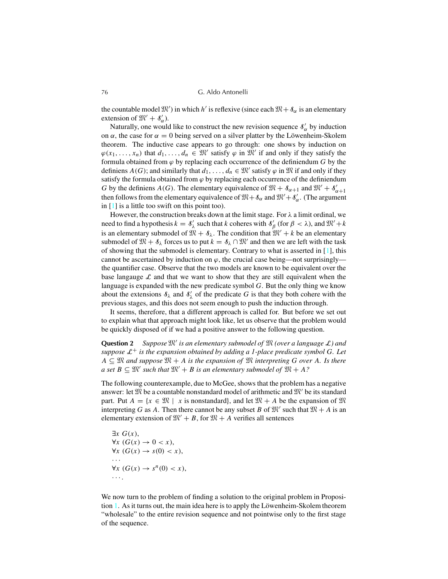<span id="page-1-0"></span>76 G. Aldo Antonelli

the countable model  $\mathfrak{M}'$ ) in which *h'* is reflexive (since each  $\mathfrak{M}+\mathfrak{F}_{\alpha}$  is an elementary extension of  $\mathfrak{M}' + \mathfrak{F}'_{\alpha}$ ).

Naturally, one would like to construct the new revision sequence  $\delta'_{\alpha}$  by induction on  $\alpha$ , the case for  $\alpha = 0$  being served on a silver platter by the Löwenheim-Skolem theorem. The inductive case appears to go through: one shows by induction on  $\varphi(x_1, \ldots, x_n)$  that  $d_1, \ldots, d_n \in \mathbb{N}$  satisfy  $\varphi$  in  $\mathbb{N}$  if and only if they satisfy the formula obtained from  $\varphi$  by replacing each occurrence of the definiendum *G* by the definiens *A*(*G*); and similarly that  $d_1, \ldots, d_n \in \mathfrak{M}'$  satisfy  $\varphi$  in  $\mathfrak{M}$  if and only if they satisfy the formula obtained from  $\varphi$  by replacing each occurrence of the definiendum *G* by the definiens *A*(*G*). The elementary equivalence of  $\mathfrak{M} + \mathfrak{F}_{\alpha+1}$  and  $\mathfrak{M}' + \mathfrak{F}'_{\alpha+1}$ then follows from the elementary equivalence of  $\mathfrak{M} + \mathfrak{F}_{\alpha}$  and  $\mathfrak{M}' + \mathfrak{F}'_{\alpha}$ . (The argument in [\[1](#page-2-0)] is a little too swift on this point too).

However, the construction breaks down at the limit stage. For  $\lambda$  a limit ordinal, we need to find a hypothesis  $k = \mathcal{S}'_\lambda$  such that *k* coheres with  $\mathcal{S}'_\beta$  (for  $\beta < \lambda$ ), and  $\mathfrak{M}' + k$ is an elementary submodel of  $\mathfrak{M} + \mathfrak{F}_{\lambda}$ . The condition that  $\mathfrak{M}' + k$  be an elementary submodel of  $\mathfrak{M} + \mathfrak{F}_{\lambda}$  forces us to put  $k = \mathfrak{F}_{\lambda} \cap \mathfrak{M}'$  and then we are left with the task of showing that the submodel is elementary. Contrary to what is asserted in  $[1]$ , this cannot be ascertained by induction on  $\varphi$ , the crucial case being—not surprisingly the quantifier case. Observe that the two models are known to be equivalent over the base langauge  $\mathcal L$  and that we want to show that they are still equivalent when the language is expanded with the new predicate symbol *G*. But the only thing we know about the extensions  $\delta_{\lambda}$  and  $\delta'_{\lambda}$  of the predicate *G* is that they both cohere with the previous stages, and this does not seem enough to push the induction through.

It seems, therefore, that a different approach is called for. But before we set out to explain what that approach might look like, let us observe that the problem would be quickly disposed of if we had a positive answer to the following question.

**Question 2** *Suppose* M<sup>0</sup> *is an elementary submodel of* M *(over a language* L*) and suppose* L<sup>+</sup> *is the expansion obtained by adding a 1-place predicate symbol G. Let*  $A ⊂ \mathbb{N}$  *and* suppose  $\mathbb{N}$  + *A is* the expansion of  $\mathbb{N}$  *interpreting G over A. Is there*  $a$  *set*  $B \subseteq \mathfrak{M}'$  *such that*  $\mathfrak{M}' + B$  *is an elementary submodel of*  $\mathfrak{M} + A$ ?

The following counterexample, due to McGee, shows that the problem has a negative answer: let  $\mathfrak{M}$  be a countable nonstandard model of arithmetic and  $\mathfrak{M}'$  be its standard part. Put  $A = \{x \in \mathbb{N} \mid x \text{ is nonstandard}\},\$ and let  $\mathbb{N} + A$  be the expansion of  $\mathbb{N}$ interpreting *G* as *A*. Then there cannot be any subset *B* of  $\mathfrak{M}'$  such that  $\mathfrak{M} + A$  is an elementary extension of  $\mathfrak{M}' + B$ , for  $\mathfrak{M} + A$  verifies all sentences

$$
\exists x \ G(x),
$$
  
\n
$$
\forall x \ (G(x) \to 0 < x),
$$
  
\n
$$
\forall x \ (G(x) \to s(0) < x),
$$
  
\n...  
\n
$$
\forall x \ (G(x) \to s^n(0) < x),
$$
  
\n...

We now turn to the problem of finding a solution to the original problem in Proposition [1.](#page-0-0) As it turns out, the main idea here is to apply the Löwenheim-Skolem theorem "wholesale" to the entire revision sequence and not pointwise only to the first stage of the sequence.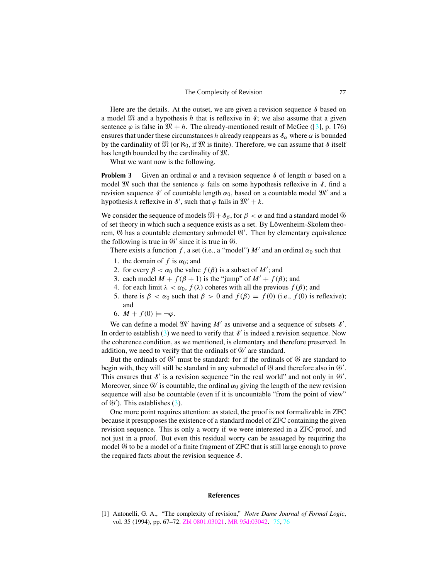<span id="page-2-0"></span>Here are the details. At the outset, we are given a revision sequence  $\delta$  based on a model  $\mathfrak{M}$  and a hypothesis *h* that is reflexive in  $\mathfrak{F}$ ; we also assume that a given sentence  $\varphi$  is false in  $\mathfrak{M} + h$ . The already-mentioned result of McGee ([\[3](#page-3-0)], p. 176) ensures that under these circumstances *h* already reappears as  $\delta_{\alpha}$  where  $\alpha$  is bounded by the cardinality of  $\mathfrak{M}$  (or  $\aleph_0$ , if  $\mathfrak{M}$  is finite). Therefore, we can assume that  $\delta$  itself has length bounded by the cardinality of M.

What we want now is the following.

**Problem 3** Given an ordinal  $\alpha$  and a revision sequence *8* of length  $\alpha$  based on a model  $\mathfrak{M}$  such that the sentence  $\varphi$  fails on some hypothesis reflexive in  $\delta$ , find a revision sequence  $\delta'$  of countable length  $\alpha_0$ , based on a countable model  $\mathfrak{M}'$  and a hypothesis *k* reflexive in  $\delta'$ , such that  $\varphi$  fails in  $\mathfrak{M}' + k$ .

We consider the sequence of models  $\mathfrak{M}+\mathfrak{F}_{\beta}$ , for  $\beta < \alpha$  and find a standard model  $\mathfrak{G}$ of set theory in which such a sequence exists as a set. By Löwenheim-Skolem theorem,  $\Im$  has a countable elementary submodel  $\Im'$ . Then by elementary equivalence the following is true in  $\mathfrak{G}'$  since it is true in  $\mathfrak{G}$ .

There exists a function f, a set (i.e., a "model")  $M'$  and an ordinal  $\alpha_0$  such that

- 1. the domain of  $f$  is  $\alpha_0$ ; and
- 2. for every  $\beta < \alpha_0$  the value  $f(\beta)$  is a subset of M'; and
- 3. each model  $M + f(\beta + 1)$  is the "jump" of  $M' + f(\beta)$ ; and
- 4. for each limit  $\lambda < \alpha_0$ ,  $f(\lambda)$  coheres with all the previous  $f(\beta)$ ; and
- 5. there is  $\beta < \alpha_0$  such that  $\beta > 0$  and  $f(\beta) = f(0)$  (i.e.,  $f(0)$  is reflexive); and
- 6.  $M + f(0) \models \neg \varphi$ .

We can define a model  $\mathfrak{M}'$  having  $M'$  as universe and a sequence of subsets  $\mathcal{S}'$ . In order to establish  $(3)$  we need to verify that  $\delta'$  is indeed a revision sequence. Now the coherence condition, as we mentioned, is elementary and therefore preserved. In addition, we need to verify that the ordinals of  $\mathfrak{G}'$  are standard.

But the ordinals of  $\mathfrak{G}'$  must be standard: for if the ordinals of  $\mathfrak{G}$  are standard to begin with, they will still be standard in any submodel of  $\mathfrak G$  and therefore also in  $\mathfrak G'.$ This ensures that  $\delta'$  is a revision sequence "in the real world" and not only in  $\mathfrak{G}'$ . Moreover, since  $\mathfrak{G}'$  is countable, the ordinal  $\alpha_0$  giving the length of the new revision sequence will also be countable (even if it is uncountable "from the point of view" of  $\mathfrak{G}'$ ). This establishes (3).

One more point requires attention: as stated, the proof is not formalizable in ZFC because it presupposesthe existence of a standard model of ZFC containing the given revision sequence. This is only a worry if we were interested in a ZFC-proof, and not just in a proof. But even this residual worry can be assuaged by requiring the model  $\Im$  to be a model of a finite fragment of ZFC that is still large enough to prove the required facts about the revision sequence  $\delta$ .

#### **References**

[1] Antonelli, G. A., "The complexity of revision," *Notre Dame Journal of Formal Logic*, vol. 35 (1994), pp. 67–72. Zbl [0801.03021.](http://www.emis.de/cgi-bin/MATH-item?0801.03021) MR [95d:03042.](http://www.ams.org/mathscinet-getitem?mr=95d:03042) [75,](#page-0-0) [76](#page-1-0)